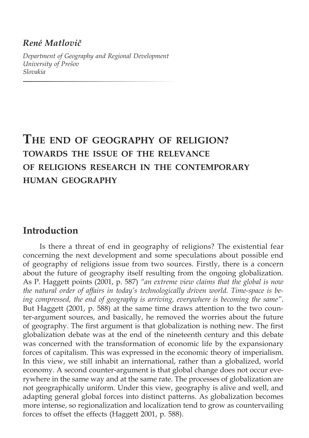## *René Matlovič*

*Department of Geography and Regional Development University of Prešov Slovakia* 

# **The end of geography of religion? towards the issue of the relevance of religions research in the contemporary human geography**

# **Introduction**

Is there a threat of end in geography of religions? The existential fear concerning the next development and some speculations about possible end of geography of religions issue from two sources. Firstly, there is a concern about the future of geography itself resulting from the ongoing globalization. As P. Haggett points (2001, p. 587) *"an extreme view claims that the global is now the natural order of affairs in today's technologically driven world. Time-space is being compressed, the end of geography is arriving, everywhere is becoming the same"*. But Haggett (2001, p. 588) at the same time draws attention to the two counter-argument sources, and basically, he removed the worries about the future of geography. The first argument is that globalization is nothing new. The first globalization debate was at the end of the nineteenth century and this debate was concerned with the transformation of economic life by the expansionary forces of capitalism. This was expressed in the economic theory of imperialism. In this view, we still inhabit an international, rather than a globalized, world economy. A second counter-argument is that global change does not occur everywhere in the same way and at the same rate. The processes of globalization are not geographically uniform. Under this view, geography is alive and well, and adapting general global forces into distinct patterns. As globalization becomes more intense, so regionalization and localization tend to grow as countervailing forces to offset the effects (Haggett 2001, p. 588).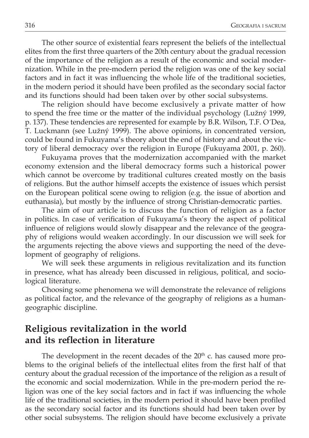The other source of existential fears represent the beliefs of the intellectual elites from the first three quarters of the 20th century about the gradual recession of the importance of the religion as a result of the economic and social modernization. While in the pre-modern period the religion was one of the key social factors and in fact it was influencing the whole life of the traditional societies, in the modern period it should have been profiled as the secondary social factor and its functions should had been taken over by other social subsystems.

The religion should have become exclusively a private matter of how to spend the free time or the matter of the individual psychology (Lužný 1999, p. 137). These tendencies are represented for example by B.R. Wilson, T.F. O´Dea, T. Luckmann (see Lužný 1999). The above opinions, in concentrated version, could be found in Fukuyama's theory about the end of history and about the victory of liberal democracy over the religion in Europe (Fukuyama 2001, p. 260).

Fukuyama proves that the modernization accompanied with the market economy extension and the liberal democracy forms such a historical power which cannot be overcome by traditional cultures created mostly on the basis of religions. But the author himself accepts the existence of issues which persist on the European political scene owing to religion (e.g. the issue of abortion and euthanasia), but mostly by the influence of strong Christian-democratic parties.

The aim of our article is to discuss the function of religion as a factor in politics. In case of verification of Fukuyama's theory the aspect of political influence of religions would slowly disappear and the relevance of the geography of religions would weaken accordingly. In our discussion we will seek for the arguments rejecting the above views and supporting the need of the development of geography of religions.

We will seek these arguments in religious revitalization and its function in presence, what has already been discussed in religious, political, and sociological literature.

Choosing some phenomena we will demonstrate the relevance of religions as political factor, and the relevance of the geography of religions as a humangeographic discipline.

# **Religious revitalization in the world and its reflection in literature**

The development in the recent decades of the  $20<sup>th</sup>$  c. has caused more problems to the original beliefs of the intellectual elites from the first half of that century about the gradual recession of the importance of the religion as a result of the economic and social modernization. While in the pre-modern period the religion was one of the key social factors and in fact if was influencing the whole life of the traditional societies, in the modern period it should have been profiled as the secondary social factor and its functions should had been taken over by other social subsystems. The religion should have become exclusively a private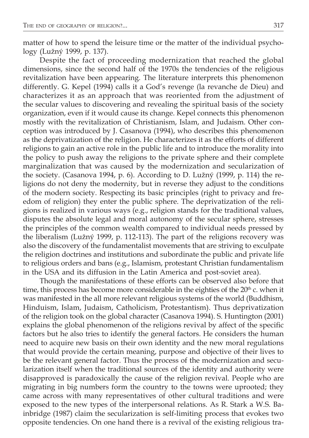matter of how to spend the leisure time or the matter of the individual psychology (Lužný 1999, p. 137).

Despite the fact of proceeding modernization that reached the global dimensions, since the second half of the 1970s the tendencies of the religious revitalization have been appearing. The literature interprets this phenomenon differently. G. Kepel (1994) calls it a God's revenge (la revanche de Dieu) and characterizes it as an approach that was reoriented from the adjustment of the secular values to discovering and revealing the spiritual basis of the society organization, even if it would cause its change. Kepel connects this phenomenon mostly with the revitalization of Christianism, Islam, and Judaism. Other conception was introduced by J. Casanova (1994), who describes this phenomenon as the deprivatization of the religion. He characterizes it as the efforts of different religions to gain an active role in the public life and to introduce the morality into the policy to push away the religions to the private sphere and their complete marginalization that was caused by the modernization and secularization of the society. (Casanova 1994, p. 6). According to D. Lužný (1999, p. 114) the religions do not deny the modernity, but in reverse they adjust to the conditions of the modern society. Respecting its basic principles (right to privacy and freedom of religion) they enter the public sphere. The deprivatization of the religions is realized in various ways (e.g., religion stands for the traditional values, disputes the absolute legal and moral autonomy of the secular sphere, stresses the principles of the common wealth compared to individual needs pressed by the liberalism (Lužný 1999, p. 112-113). The part of the religions recovery was also the discovery of the fundamentalist movements that are striving to exculpate the religion doctrines and institutions and subordinate the public and private life to religious orders and bans (e.g., Islamism, protestant Christian fundamentalism in the USA and its diffusion in the Latin America and post-soviet area).

Though the manifestations of these efforts can be observed also before that time, this process has become more considerable in the eighties of the 20<sup>th</sup> c. when it was manifested in the all more relevant religious systems of the world (Buddhism, Hinduism, Islam, Judaism, Catholicism, Protestantism). Thus deprivatization of the religion took on the global character (Casanova 1994). S. Huntington (2001) explains the global phenomenon of the religions revival by affect of the specific factors but he also tries to identify the general factors. He considers the human need to acquire new basis on their own identity and the new moral regulations that would provide the certain meaning, purpose and objective of their lives to be the relevant general factor. Thus the process of the modernization and secularization itself when the traditional sources of the identity and authority were disapproved is paradoxically the cause of the religion revival. People who are migrating in big numbers form the country to the towns were uprooted; they came across with many representatives of other cultural traditions and were exposed to the new types of the interpersonal relations. As R. Stark a W.S. Bainbridge (1987) claim the secularization is self-limiting process that evokes two opposite tendencies. On one hand there is a revival of the existing religious tra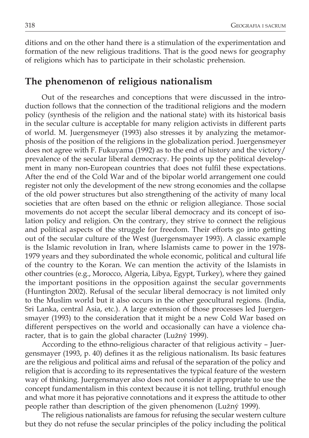ditions and on the other hand there is a stimulation of the experimentation and formation of the new religious traditions. That is the good news for geography of religions which has to participate in their scholastic prehension.

## **The phenomenon of religious nationalism**

Out of the researches and conceptions that were discussed in the introduction follows that the connection of the traditional religions and the modern policy (synthesis of the religion and the national state) with its historical basis in the secular culture is acceptable for many religion activists in different parts of world. M. Juergensmeyer (1993) also stresses it by analyzing the metamorphosis of the position of the religions in the globalization period. Juergensmeyer does not agree with F. Fukuyama (1992) as to the end of history and the victory/ prevalence of the secular liberal democracy. He points up the political development in many non-European countries that does not fulfil these expectations. After the end of the Cold War and of the bipolar world arrangement one could register not only the development of the new strong economies and the collapse of the old power structures but also strengthening of the activity of many local societies that are often based on the ethnic or religion allegiance. Those social movements do not accept the secular liberal democracy and its concept of isolation policy and religion. On the contrary, they strive to connect the religious and political aspects of the struggle for freedom. Their efforts go into getting out of the secular culture of the West (Juergensmayer 1993). A classic example is the Islamic revolution in Iran, where Islamists came to power in the 1978- 1979 years and they subordinated the whole economic, political and cultural life of the country to the Koran. We can mention the activity of the Islamists in other countries (e.g., Morocco, Algeria, Libya, Egypt, Turkey), where they gained the important positions in the opposition against the secular governments (Huntington 2002). Refusal of the secular liberal democracy is not limited only to the Muslim world but it also occurs in the other geocultural regions. (India, Sri Lanka, central Asia, etc.). A large extension of those processes led Juergensmayer (1993) to the consideration that it might be a new Cold War based on different perspectives on the world and occasionally can have a violence character, that is to gain the global character (Lužný 1999).

According to the ethno-religious character of that religious activity – Juergensmayer (1993, p. 40) defines it as the religious nationalism. Its basic features are the religious and political aims and refusal of the separation of the policy and religion that is according to its representatives the typical feature of the western way of thinking. Juergensmayer also does not consider it appropriate to use the concept fundamentalism in this context because it is not telling, truthful enough and what more it has pejorative connotations and it express the attitude to other people rather than description of the given phenomenon (Lužný 1999).

The religious nationalists are famous for refusing the secular western culture but they do not refuse the secular principles of the policy including the political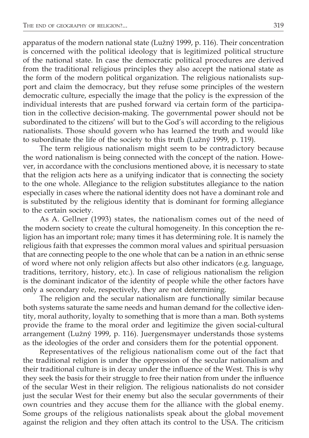apparatus of the modern national state (Lužný 1999, p. 116). Their concentration is concerned with the political ideology that is legitimized political structure of the national state. In case the democratic political procedures are derived from the traditional religious principles they also accept the national state as the form of the modern political organization. The religious nationalists support and claim the democracy, but they refuse some principles of the western democratic culture, especially the image that the policy is the expression of the individual interests that are pushed forward via certain form of the participation in the collective decision-making. The governmental power should not be subordinated to the citizens' will but to the God's will according to the religious nationalists. Those should govern who has learned the truth and would like to subordinate the life of the society to this truth (Lužný 1999, p. 119).

The term religious nationalism might seem to be contradictory because the word nationalism is being connected with the concept of the nation. However, in accordance with the conclusions mentioned above, it is necessary to state that the religion acts here as a unifying indicator that is connecting the society to the one whole. Allegiance to the religion substitutes allegiance to the nation especially in cases where the national identity does not have a dominant role and is substituted by the religious identity that is dominant for forming allegiance to the certain society.

As A. Gellner (1993) states, the nationalism comes out of the need of the modern society to create the cultural homogeneity. In this conception the religion has an important role; many times it has determining role. It is namely the religious faith that expresses the common moral values and spiritual persuasion that are connecting people to the one whole that can be a nation in an ethnic sense of word where not only religion affects but also other indicators (e.g. language, traditions, territory, history, etc.). In case of religious nationalism the religion is the dominant indicator of the identity of people while the other factors have only a secondary role, respectively, they are not determining.

The religion and the secular nationalism are functionally similar because both systems saturate the same needs and human demand for the collective identity, moral authority, loyalty to something that is more than a man. Both systems provide the frame to the moral order and legitimize the given social-cultural arrangement (Lužný 1999, p. 116). Juergensmayer understands those systems as the ideologies of the order and considers them for the potential opponent.

Representatives of the religious nationalism come out of the fact that the traditional religion is under the oppression of the secular nationalism and their traditional culture is in decay under the influence of the West. This is why they seek the basis for their struggle to free their nation from under the influence of the secular West in their religion. The religious nationalists do not consider just the secular West for their enemy but also the secular governments of their own countries and they accuse them for the alliance with the global enemy. Some groups of the religious nationalists speak about the global movement against the religion and they often attach its control to the USA. The criticism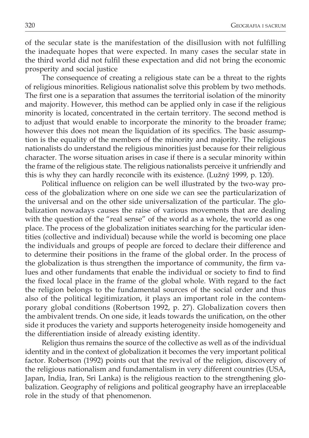of the secular state is the manifestation of the disillusion with not fulfilling the inadequate hopes that were expected. In many cases the secular state in the third world did not fulfil these expectation and did not bring the economic prosperity and social justice

The consequence of creating a religious state can be a threat to the rights of religious minorities. Religious nationalist solve this problem by two methods. The first one is a separation that assumes the territorial isolation of the minority and majority. However, this method can be applied only in case if the religious minority is located, concentrated in the certain territory. The second method is to adjust that would enable to incorporate the minority to the broader frame; however this does not mean the liquidation of its specifics. The basic assumption is the equality of the members of the minority and majority. The religious nationalists do understand the religious minorities just because for their religious character. The worse situation arises in case if there is a secular minority within the frame of the religious state. The religious nationalists perceive it unfriendly and this is why they can hardly reconcile with its existence. (Lužný 1999, p. 120).

Political influence on religion can be well illustrated by the two-way process of the globalization where on one side we can see the particularization of the universal and on the other side universalization of the particular. The globalization nowadays causes the raise of various movements that are dealing with the question of the "real sense" of the world as a whole, the world as one place. The process of the globalization initiates searching for the particular identities (collective and individual) because while the world is becoming one place the individuals and groups of people are forced to declare their difference and to determine their positions in the frame of the global order. In the process of the globalization is thus strengthen the importance of community, the firm values and other fundaments that enable the individual or society to find to find the fixed local place in the frame of the global whole. With regard to the fact the religion belongs to the fundamental sources of the social order and thus also of the political legitimization, it plays an important role in the contemporary global conditions (Robertson 1992, p. 27). Globalization covers then the ambivalent trends. On one side, it leads towards the unification, on the other side it produces the variety and supports heterogeneity inside homogeneity and the differentiation inside of already existing identity.

Religion thus remains the source of the collective as well as of the individual identity and in the context of globalization it becomes the very important political factor. Robertson (1992) points out that the revival of the religion, discovery of the religious nationalism and fundamentalism in very different countries (USA, Japan, India, Iran, Sri Lanka) is the religious reaction to the strengthening globalization. Geography of religions and political geography have an irreplaceable role in the study of that phenomenon.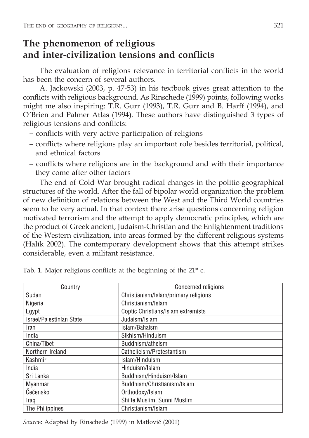# **The phenomenon of religious and inter-civilization tensions and conflicts**

The evaluation of religions relevance in territorial conflicts in the world has been the concern of several authors.

A. Jackowski (2003, p. 47-53) in his textbook gives great attention to the conflicts with religious background. As Rinschede (1999) points, following works might me also inspiring: T.R. Gurr (1993), T.R. Gurr and B. Harff (1994), and O´Brien and Palmer Atlas (1994). These authors have distinguished 3 types of religious tensions and conflicts:

- conflicts with very active participation of religions
- conflicts where religions play an important role besides territorial, political, and ethnical factors
- conflicts where religions are in the background and with their importance they come after other factors

The end of Cold War brought radical changes in the politic-geographical structures of the world. After the fall of bipolar world organization the problem of new definition of relations between the West and the Third World countries seem to be very actual. In that context there arise questions concerning religion motivated terrorism and the attempt to apply democratic principles, which are the product of Greek ancient, Judaism-Christian and the Enlightenment traditions of the Western civilization, into areas formed by the different religious systems (Halík 2002). The contemporary development shows that this attempt strikes considerable, even a militant resistance.

| Country                  | Concerned religions                  |
|--------------------------|--------------------------------------|
| Sudan                    | Christianism/Islam/primary religions |
| Nigeria                  | Christianism/Islam                   |
| Egypt                    | Coptic Christians/Islam extremists   |
| Israel/Palestinian State | Judaism/Islam                        |
| <b>Iran</b>              | Islam/Bahaism                        |
| India                    | Sikhism/Hinduism                     |
| China/Tibet              | Buddhism/atheism                     |
| Northern Ireland         | Catholicism/Protestantism            |
| Kashmir                  | Islam/Hinduism                       |
| India                    | Hinduism/Islam                       |
| Sri Lanka                | Buddhism/Hinduism/Islam              |
| Myanmar                  | Buddhism/Christianism/Islam          |
| Čečensko                 | Orthodoxy/Islam                      |
| Iraq                     | Shiite Muslim, Sunni Muslim          |
| The Philippines          | Christianism/Islam                   |

Tab. 1. Major religious conflicts at the beginning of the  $21<sup>st</sup>$  c.

*Sourc*e: Adapted by Rinschede (1999) in Matlovič (2001)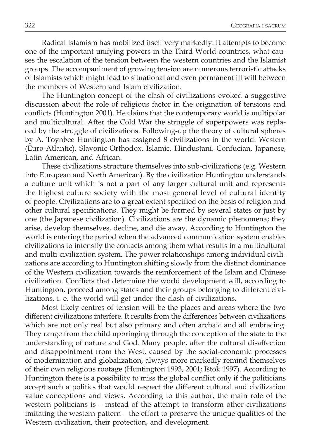Radical Islamism has mobilized itself very markedly. It attempts to become one of the important unifying powers in the Third World countries, what causes the escalation of the tension between the western countries and the Islamist groups. The accompaniment of growing tension are numerous terroristic attacks of Islamists which might lead to situational and even permanent ill will between the members of Western and Islam civilization.

The Huntington concept of the clash of civilizations evoked a suggestive discussion about the role of religious factor in the origination of tensions and conflicts (Huntington 2001). He claims that the contemporary world is multipolar and multicultural. After the Cold War the struggle of superpowers was replaced by the struggle of civilizations. Following-up the theory of cultural spheres by A. Toynbee Huntington has assigned 8 civilizations in the world: Western (Euro-Atlantic), Slavonic-Orthodox, Islamic, Hindustani, Confucian, Japanese, Latin-American, and African.

These civilizations structure themselves into sub-civilizations (e.g. Western into European and North American). By the civilization Huntington understands a culture unit which is not a part of any larger cultural unit and represents the highest culture society with the most general level of cultural identity of people. Civilizations are to a great extent specified on the basis of religion and other cultural specifications. They might be formed by several states or just by one (the Japanese civilization). Civilizations are the dynamic phenomena; they arise, develop themselves, decline, and die away. According to Huntington the world is entering the period when the advanced communication system enables civilizations to intensify the contacts among them what results in a multicultural and multi-civilization system. The power relationships among individual civilizations are according to Huntington shifting slowly from the distinct dominance of the Western civilization towards the reinforcement of the Islam and Chinese civilization. Conflicts that determine the world development will, according to Huntington, proceed among states and their groups belonging to different civilizations, i. e. the world will get under the clash of civilizations.

Most likely centres of tension will be the places and areas where the two different civilizations interfere. It results from the differences between civilizations which are not only real but also primary and often archaic and all embracing. They range from the child upbringing through the conception of the state to the understanding of nature and God. Many people, after the cultural disaffection and disappointment from the West, caused by the social-economic processes of modernization and globalization, always more markedly remind themselves of their own religious rootage (Huntington 1993, 2001; Ištok 1997). According to Huntington there is a possibility to miss the global conflict only if the politicians accept such a politics that would respect the different cultural and civilization value conceptions and views. According to this author, the main role of the western politicians is – instead of the attempt to transform other civilizations imitating the western pattern – the effort to preserve the unique qualities of the Western civilization, their protection, and development.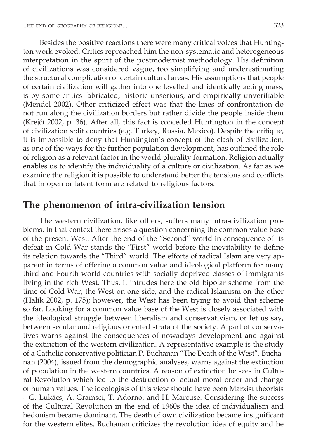Besides the positive reactions there were many critical voices that Huntington work evoked. Critics reproached him the non-systematic and heterogeneous interpretation in the spirit of the postmodernist methodology. His definition of civilizations was considered vague, too simplifying and underestimating the structural complication of certain cultural areas. His assumptions that people of certain civilization will gather into one levelled and identically acting mass, is by some critics fabricated, historic unserious, and empirically unverifiable (Mendel 2002). Other criticized effect was that the lines of confrontation do not run along the civilization borders but rather divide the people inside them (Krejčí 2002, p. 36). After all, this fact is conceded Huntington in the concept of civilization split countries (e.g. Turkey, Russia, Mexico). Despite the critique, it is impossible to deny that Huntington's concept of the clash of civilization, as one of the ways for the further population development, has outlined the role of religion as a relevant factor in the world plurality formation. Religion actually enables us to identify the individuality of a culture or civilization. As far as we examine the religion it is possible to understand better the tensions and conflicts that in open or latent form are related to religious factors.

## **The phenomenon of intra-civilization tension**

The western civilization, like others, suffers many intra-civilization problems. In that context there arises a question concerning the common value base of the present West. After the end of the "Second" world in consequence of its defeat in Cold War stands the "First" world before the inevitability to define its relation towards the "Third" world. The efforts of radical Islam are very apparent in terms of offering a common value and ideological platform for many third and Fourth world countries with socially deprived classes of immigrants living in the rich West. Thus, it intrudes here the old bipolar scheme from the time of Cold War; the West on one side, and the radical Islamism on the other (Halík 2002, p. 175); however, the West has been trying to avoid that scheme so far. Looking for a common value base of the West is closely associated with the ideological struggle between liberalism and conservativism, or let us say, between secular and religious oriented strata of the society. A part of conservatives warns against the consequences of nowadays development and against the extinction of the western civilization. A representative example is the study of a Catholic conservative politician P. Buchanan "The Death of the West". Buchanan (2004), issued from the demographic analyses, warns against the extinction of population in the western countries. A reason of extinction he sees in Cultural Revolution which led to the destruction of actual moral order and change of human values. The ideologists of this view should have been Marxist theorists – G. Lukács, A. Gramsci, T. Adorno, and H. Marcuse. Considering the success of the Cultural Revolution in the end of 1960s the idea of individualism and hedonism became dominant. The death of own civilization became insignificant for the western elites. Buchanan criticizes the revolution idea of equity and he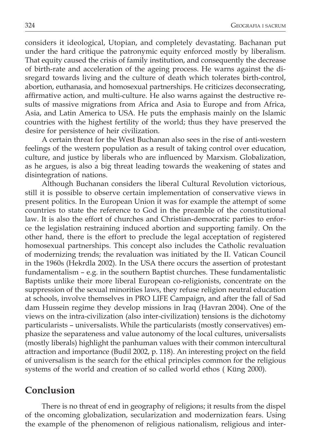considers it ideological, Utopian, and completely devastating. Bachanan put under the hard critique the patronymic equity enforced mostly by liberalism. That equity caused the crisis of family institution, and consequently the decrease of birth-rate and acceleration of the ageing process. He warns against the disregard towards living and the culture of death which tolerates birth-control, abortion, euthanasia, and homosexual partnerships. He criticizes deconsecrating, affirmative action, and multi-culture. He also warns against the destructive results of massive migrations from Africa and Asia to Europe and from Africa, Asia, and Latin America to USA. He puts the emphasis mainly on the Islamic countries with the highest fertility of the world; thus they have preserved the desire for persistence of heir civilization.

A certain threat for the West Buchanan also sees in the rise of anti-western feelings of the western population as a result of taking control over education, culture, and justice by liberals who are influenced by Marxism. Globalization, as he argues, is also a big threat leading towards the weakening of states and disintegration of nations.

Although Buchanan considers the liberal Cultural Revolution victorious, still it is possible to observe certain implementation of conservative views in present politics. In the European Union it was for example the attempt of some countries to state the reference to God in the preamble of the constitutional law. It is also the effort of churches and Christian-democratic parties to enforce the legislation restraining induced abortion and supporting family. On the other hand, there is the effort to preclude the legal acceptation of registered homosexual partnerships. This concept also includes the Catholic revaluation of modernizing trends; the revaluation was initiated by the II. Vatican Council in the 1960s (Hekrdla 2002). In the USA there occurs the assertion of protestant fundamentalism – e.g. in the southern Baptist churches. These fundamentalistic Baptists unlike their more liberal European co-religionists, concentrate on the suppression of the sexual minorities laws, they refuse religion neutral education at schools, involve themselves in PRO LIFE Campaign, and after the fall of Sad dam Hussein regime they develop missions in Iraq (Havran 2004). One of the views on the intra-civilization (also inter-civilization) tensions is the dichotomy particularists – universalists. While the particularists (mostly conservatives) emphasize the separateness and value autonomy of the local cultures, universalists (mostly liberals) highlight the panhuman values with their common intercultural attraction and importance (Budil 2002, p. 118). An interesting project on the field of universalism is the search for the ethical principles common for the religious systems of the world and creation of so called world ethos ( Küng 2000).

## **Conclusion**

There is no threat of end in geography of religions; it results from the dispel of the oncoming globalization, secularization and modernization fears. Using the example of the phenomenon of religious nationalism, religious and inter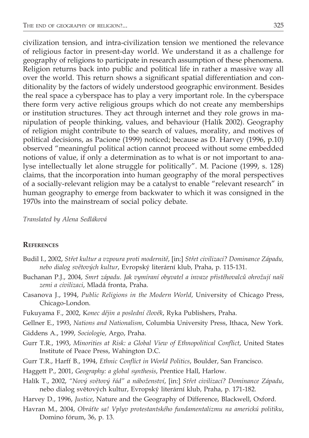civilization tension, and intra-civilization tension we mentioned the relevance of religious factor in present-day world. We understand it as a challenge for geography of religions to participate in research assumption of these phenomena. Religion returns back into public and political life in rather a massive way all over the world. This return shows a significant spatial differentiation and conditionality by the factors of widely understood geographic environment. Besides the real space a cyberspace has to play a very important role. In the cyberspace there form very active religious groups which do not create any memberships or institution structures. They act through internet and they role grows in manipulation of people thinking, values, and behaviour (Halík 2002). Geography of religion might contribute to the search of values, morality, and motives of political decisions, as Pacione (1999) noticed; because as D. Harvey (1996, p.10) observed "meaningful political action cannot proceed without some embedded notions of value, if only a determination as to what is or not important to analyse intellectually let alone struggle for politically". M. Pacione (1999, s. 128) claims, that the incorporation into human geography of the moral perspectives of a socially-relevant religion may be a catalyst to enable "relevant research" in human geography to emerge from backwater to which it was consigned in the 1970s into the mainstream of social policy debate.

*Translated by Alena Sedláková*

#### **References**

- Budil I., 2002, *Střet kultur a vzpoura proti modernitě*, [in:] *Střet civilizací? Dominance Západu, nebo dialog světových kultur*, Evropský literární klub, Praha, p. 115-131.
- Buchanan P.J., 2004, *Smrt západu. Jak vymíraní obyvatel a invaze přistěhovalců ohrožují naši zemi a civilizaci*, Mladá fronta, Praha.
- Casanova J., 1994, *Public Religions in the Modern World*, University of Chicago Press, Chicago-London.
- Fukuyama F., 2002, K*onec dějin a poslední člověk*, Ryka Publishers, Praha.
- Gellner E., 1993, *Nations and Nationalism*, Columbia University Press, Ithaca, New York.
- Giddens A., 1999, *Sociologi*e, Argo, Praha.
- Gurr T.R., 1993, *Minorities at Risk: a Global View of Ethnopolitical Conflict*, United States Institute of Peace Press, Wahington D.C.
- Gurr T.R., Harff B., 1994, *Ethnic Conflict in World Politics*, Boulder, San Francisco.
- Haggett P., 2001, *Geography: a global synthesis*, Prentice Hall, Harlow.
- Halík T., 2002, *"Nový světový řád" a náboženství*, [in:] *Střet civilizací? Dominance Západu*, nebo dialog světových kultur, Evropský literární klub, Praha, p. 171-182.
- Harvey D., 1996, *Justice*, Nature and the Geography of Difference, Blackwell, Oxford.
- Havran M., 2004, *Obráťte sa! Vplyv protestantského fundamentalizmu na americkú politiku*, Domino fórum, 36, p. 13.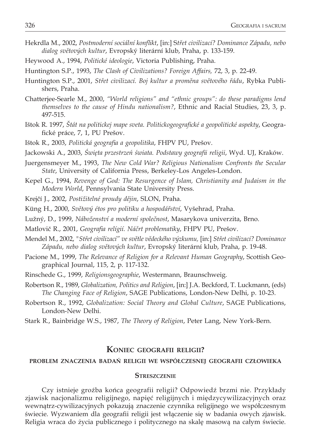- Hekrdla M., 2002, *Postmoderní sociální konflikt*, [in:] S*třet civilizací? Dominance Západu, nebo dialog světových kultur*, Evropský literární klub, Praha, p. 133-159.
- Heywood A., 1994, *Politické ideologie*, Victoria Publishing, Praha.
- Huntington S.P., 1993, *The Clash of Civilizations? Foreign Affairs,* 72, 3, p. 22-49.
- Huntington S.P., 2001, *Střet civilizací. Boj kultur a proměna světového řádu*, Rybka Publishers, Praha.
- Chatterjee-Searle M., 2000, *"World religions" and "ethnic groups": do these paradigms lend themselves to the cause of Hindu nationalism?*, Ethnic and Racial Studies, 23, 3, p. 497-515.
- Ištok R. 1997, *Štát na politickej mape sveta. Politickogeografické a geopolitické aspekty*, Geografické práce, 7, 1, PU Prešov.
- Ištok R., 2003, *Politická geografia a geopolitika*, FHPV PU, Prešov.
- Jackowski A., 2003, *Święta przestrzeń świata. Podstawy geografii religii*, Wyd. UJ, Kraków.
- Juergensmeyer M., 1993, *The New Cold War? Religious Nationalism Confronts the Secular State*, University of California Press, Berkeley-Los Angeles-London.
- Kepel G., 1994, *Revenge of God: The Resurgence of Islam, Christianity and Judaism in the Modern World*, Pennsylvania State University Press.
- Krejčí J., 2002, *Postižitelné proudy dějin*, SLON, Praha.
- Küng H., 2000, *Světový étos pro politiku a hospodářství*, Vyšehrad, Praha.
- Lužný, D., 1999, *Náboženství a moderní společnost*, Masarykova univerzita, Brno.
- Matlovič R., 2001, *Geografia relígií. Náčrt problematiky*, FHPV PU, Prešov.
- Mendel M., 2002, *"Střet civilizací" ve světle vědeckého výzkumu,* [in:] *Střet civilizací? Dominance Západu, nebo dialog světových kultur*, Evropský literární klub, Praha, p. 19-48.
- Pacione M., 1999, *The Relevance of Religion for a Relevant Human Geography*, Scottish Geographical Journal, 115, 2, p. 117-132.
- Rinschede G., 1999, *Religionsgeographie*, Westermann, Braunschweig.
- Robertson R., 1989, *Globalization, Politics and Religion*, [in:] J.A. Beckford, T. Luckmann, (eds) *The Changing Face of Religion*, SAGE Publications, London-New Delhi, p. 10-23.
- Robertson R., 1992, *Globalization: Social Theory and Global Culture*, SAGE Publications, London-New Delhi.
- Stark R., Bainbridge W.S., 1987, *The Theory of Religion*, Peter Lang, New York-Bern.

### **Koniec geografii religii?**

### **problem znaczenia badań religii we współczesnej geografii człowieka**

#### **Streszczenie**

Czy istnieje groźba końca geografii religii? Odpowiedź brzmi nie. Przykłady zjawisk nacjonalizmu religijnego, napięć religijnych i międzycywilizacyjnych oraz wewnątrz-cywilizacyjnych pokazują znaczenie czynnika religijnego we współczesnym świecie. Wyzwaniem dla geografii religii jest włączenie się w badania owych zjawisk. Religia wraca do życia publicznego i politycznego na skalę masową na całym świecie.